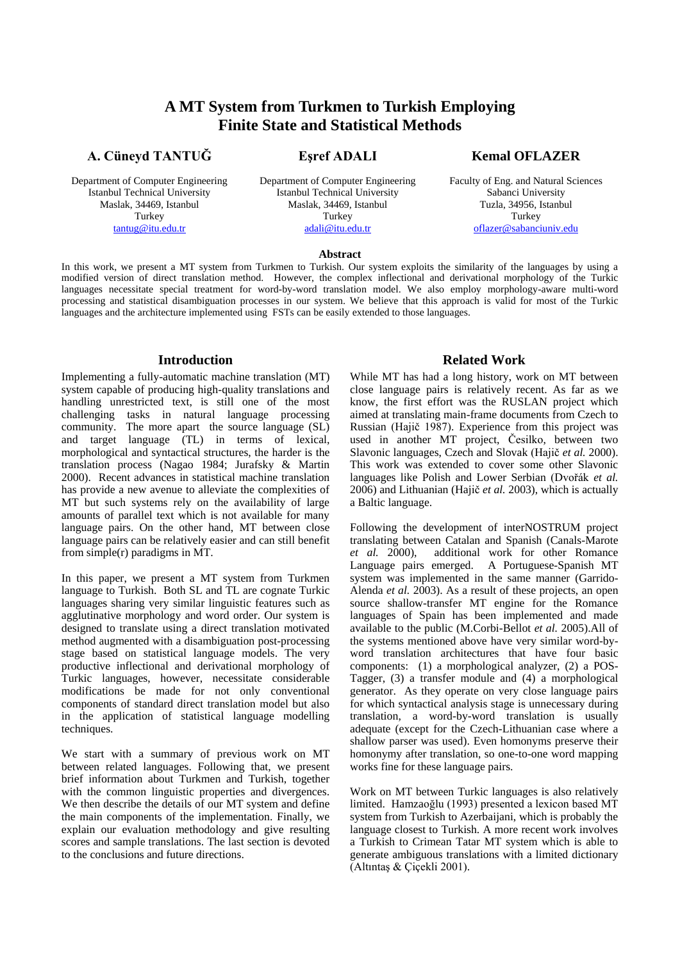# **A MT System from Turkmen to Turkish Employing Finite State and Statistical Methods**

**Eşref ADALI**

# **A. Cüneyd TANTUĞ**

Department of Computer Engineering Istanbul Technical University Maslak, 34469, Istanbul Turkey [tantug@itu.edu.tr](mailto:tantug@itu.edu.tr)

Department of Computer Engineering Istanbul Technical University Maslak, 34469, Istanbul Turkey [adali@itu.edu.tr](mailto:adali@itu.edu.tr)

# **Kemal OFLAZER**

Faculty of Eng. and Natural Sciences Sabanci University Tuzla, 34956, Istanbul Turkey [oflazer@sabanciuniv.edu](mailto:oflazer@sabanciuniv.edu)

#### **Abstract**

In this work, we present a MT system from Turkmen to Turkish. Our system exploits the similarity of the languages by using a modified version of direct translation method. However, the complex inflectional and derivational morphology of the Turkic languages necessitate special treatment for word-by-word translation model. We also employ morphology-aware multi-word processing and statistical disambiguation processes in our system. We believe that this approach is valid for most of the Turkic languages and the architecture implemented using FSTs can be easily extended to those languages.

# **Introduction**

Implementing a fully-automatic machine translation (MT) system capable of producing high-quality translations and handling unrestricted text, is still one of the most challenging tasks in natural language processing community. The more apart the source language (SL) and target language (TL) in terms of lexical, morphological and syntactical structures, the harder is the translation process (Nagao 1984; Jurafsky & Martin 2000). Recent advances in statistical machine translation has provide a new avenue to alleviate the complexities of MT but such systems rely on the availability of large amounts of parallel text which is not available for many language pairs. On the other hand, MT between close language pairs can be relatively easier and can still benefit from simple(r) paradigms in MT.

In this paper, we present a MT system from Turkmen language to Turkish. Both SL and TL are cognate Turkic languages sharing very similar linguistic features such as agglutinative morphology and word order. Our system is designed to translate using a direct translation motivated method augmented with a disambiguation post-processing stage based on statistical language models. The very productive inflectional and derivational morphology of Turkic languages, however, necessitate considerable modifications be made for not only conventional components of standard direct translation model but also in the application of statistical language modelling techniques.

We start with a summary of previous work on MT between related languages. Following that, we present brief information about Turkmen and Turkish, together with the common linguistic properties and divergences. We then describe the details of our MT system and define the main components of the implementation. Finally, we explain our evaluation methodology and give resulting scores and sample translations. The last section is devoted to the conclusions and future directions.

# **Related Work**

While MT has had a long history, work on MT between close language pairs is relatively recent. As far as we know, the first effort was the RUSLAN project which aimed at translating main-frame documents from Czech to Russian (Hajič 1987). Experience from this project was used in another MT project, Česilko, between two Slavonic languages, Czech and Slovak (Hajič *et al.* 2000). This work was extended to cover some other Slavonic languages like Polish and Lower Serbian (Dvořák *et al.* 2006) and Lithuanian (Hajič *et al.* 2003), which is actually a Baltic language.

Following the development of interNOSTRUM project translating between Catalan and Spanish (Canals-Marote *et al.* 2000), additional work for other Romance Language pairs emerged. A Portuguese-Spanish MT system was implemented in the same manner (Garrido-Alenda *et al.* 2003). As a result of these projects, an open source shallow-transfer MT engine for the Romance languages of Spain has been implemented and made available to the public (M.Corbi-Bellot *et al.* 2005).All of the systems mentioned above have very similar word-byword translation architectures that have four basic components: (1) a morphological analyzer, (2) a POS-Tagger, (3) a transfer module and (4) a morphological generator. As they operate on very close language pairs for which syntactical analysis stage is unnecessary during translation, a word-by-word translation is usually adequate (except for the Czech-Lithuanian case where a shallow parser was used). Even homonyms preserve their homonymy after translation, so one-to-one word mapping works fine for these language pairs.

Work on MT between Turkic languages is also relatively limited. Hamzaoğlu (1993) presented a lexicon based MT system from Turkish to Azerbaijani, which is probably the language closest to Turkish. A more recent work involves a Turkish to Crimean Tatar MT system which is able to generate ambiguous translations with a limited dictionary (Altıntaş & Çiçekli 2001).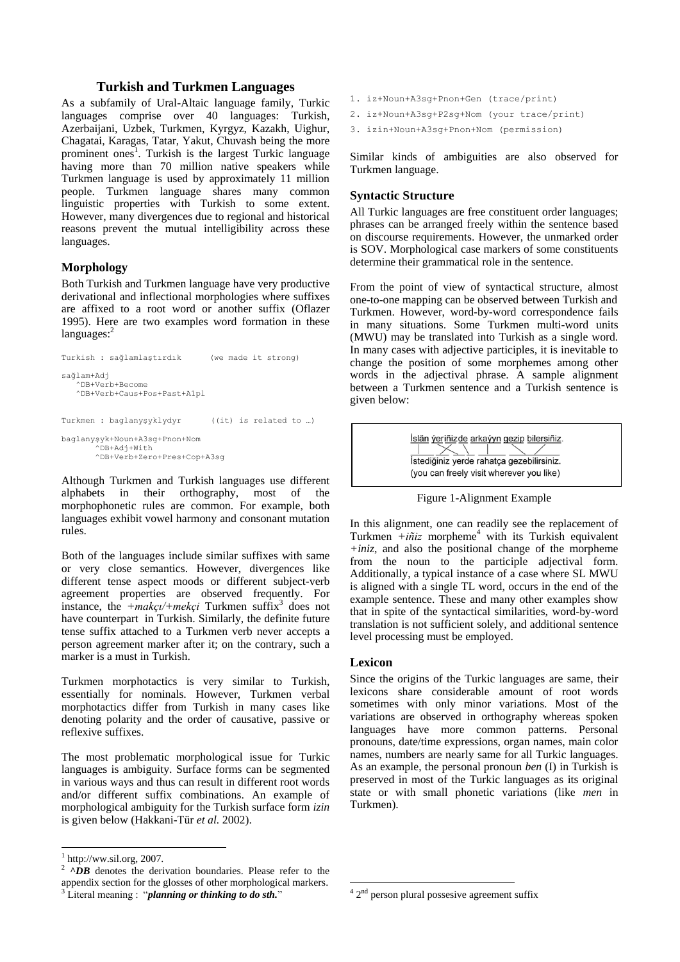# **Turkish and Turkmen Languages**

As a subfamily of Ural-Altaic language family, Turkic languages comprise over 40 languages: Turkish, Azerbaijani, Uzbek, Turkmen, Kyrgyz, Kazakh, Uighur, Chagatai, Karagas, Tatar, Yakut, Chuvash being the more prominent ones<sup>1</sup>. Turkish is the largest Turkic language having more than 70 million native speakers while Turkmen language is used by approximately 11 million people. Turkmen language shares many common linguistic properties with Turkish to some extent. However, many divergences due to regional and historical reasons prevent the mutual intelligibility across these languages.

# **Morphology**

Both Turkish and Turkmen language have very productive derivational and inflectional morphologies where suffixes are affixed to a root word or another suffix (Oflazer 1995). Here are two examples word formation in these  $languages$ :

```
Turkish : sağlamlaştırdık (we made it strong)
sağlam+Adj
    ^DB+Verb+Become
    ^DB+Verb+Caus+Pos+Past+A1pl
Turkmen : baglanyşyklydyr ((it) is related to …)
baglanyşyk+Noun+A3sg+Pnon+Nom
       ..<br>^DB+Adi+With
        ^DB+Verb+Zero+Pres+Cop+A3sg
```
Although Turkmen and Turkish languages use different alphabets in their orthography, most of the morphophonetic rules are common. For example, both languages exhibit vowel harmony and consonant mutation rules.

Both of the languages include similar suffixes with same or very close semantics. However, divergences like different tense aspect moods or different subject-verb agreement properties are observed frequently. For instance, the  $+mak\varsigma l+mek\varsigma l$  Turkmen suffix<sup>3</sup> does not have counterpart in Turkish. Similarly, the definite future tense suffix attached to a Turkmen verb never accepts a person agreement marker after it; on the contrary, such a marker is a must in Turkish.

Turkmen morphotactics is very similar to Turkish, essentially for nominals. However, Turkmen verbal morphotactics differ from Turkish in many cases like denoting polarity and the order of causative, passive or reflexive suffixes.

The most problematic morphological issue for Turkic languages is ambiguity. Surface forms can be segmented in various ways and thus can result in different root words and/or different suffix combinations. An example of morphological ambiguity for the Turkish surface form *izin* is given below (Hakkani-Tür *et al.* 2002).

- 1. iz+Noun+A3sg+Pnon+Gen (trace/print)
- 2. iz+Noun+A3sg+P2sg+Nom (your trace/print)
- 3. izin+Noun+A3sg+Pnon+Nom (permission)

Similar kinds of ambiguities are also observed for Turkmen language.

# **Syntactic Structure**

All Turkic languages are free constituent order languages; phrases can be arranged freely within the sentence based on discourse requirements. However, the unmarked order is SOV. Morphological case markers of some constituents determine their grammatical role in the sentence.

From the point of view of syntactical structure, almost one-to-one mapping can be observed between Turkish and Turkmen. However, word-by-word correspondence fails in many situations. Some Turkmen multi-word units (MWU) may be translated into Turkish as a single word. In many cases with adjective participles, it is inevitable to change the position of some morphemes among other words in the adjectival phrase. A sample alignment between a Turkmen sentence and a Turkish sentence is given below:



Figure 1-Alignment Example

In this alignment, one can readily see the replacement of Turkmen  $+i\tilde{n}iz$  morpheme<sup>4</sup> with its Turkish equivalent *+iniz*, and also the positional change of the morpheme from the noun to the participle adjectival form. Additionally, a typical instance of a case where SL MWU is aligned with a single TL word, occurs in the end of the example sentence. These and many other examples show that in spite of the syntactical similarities, word-by-word translation is not sufficient solely, and additional sentence level processing must be employed.

# **Lexicon**

Since the origins of the Turkic languages are same, their lexicons share considerable amount of root words sometimes with only minor variations. Most of the variations are observed in orthography whereas spoken languages have more common patterns. Personal pronouns, date/time expressions, organ names, main color names, numbers are nearly same for all Turkic languages. As an example, the personal pronoun *ben* (I) in Turkish is preserved in most of the Turkic languages as its original state or with small phonetic variations (like *men* in Turkmen).

 $1$  http://ww.sil.org, 2007.

 $^{2}$   $\wedge$ DB denotes the derivation boundaries. Please refer to the appendix section for the glosses of other morphological markers. <sup>3</sup> Literal meaning : "*planning or thinking to do sth.*"

 $\frac{4}{4}$   $2<sup>nd</sup>$  person plural possesive agreement suffix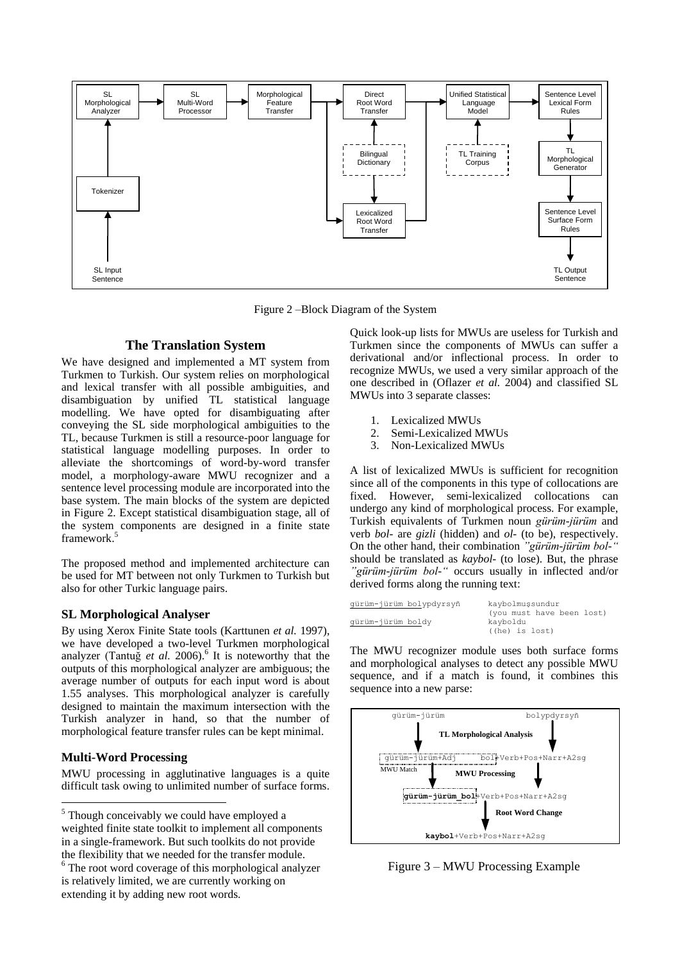

Figure 2 –Block Diagram of the System

# <span id="page-2-0"></span>**The Translation System**

We have designed and implemented a MT system from Turkmen to Turkish. Our system relies on morphological and lexical transfer with all possible ambiguities, and disambiguation by unified TL statistical language modelling. We have opted for disambiguating after conveying the SL side morphological ambiguities to the TL, because Turkmen is still a resource-poor language for statistical language modelling purposes. In order to alleviate the shortcomings of word-by-word transfer model, a morphology-aware MWU recognizer and a sentence level processing module are incorporated into the base system. The main blocks of the system are depicted in [Figure 2.](#page-2-0) Except statistical disambiguation stage, all of the system components are designed in a finite state framework. 5

The proposed method and implemented architecture can be used for MT between not only Turkmen to Turkish but also for other Turkic language pairs.

### **SL Morphological Analyser**

By using Xerox Finite State tools (Karttunen *et al.* 1997), we have developed a two-level Turkmen morphological analyzer (Tantuğ *et al.* 2006). 6 It is noteworthy that the outputs of this morphological analyzer are ambiguous; the average number of outputs for each input word is about 1.55 analyses. This morphological analyzer is carefully designed to maintain the maximum intersection with the Turkish analyzer in hand, so that the number of morphological feature transfer rules can be kept minimal.

# **Multi-Word Processing**

l

MWU processing in agglutinative languages is a quite difficult task owing to unlimited number of surface forms.

Quick look-up lists for MWUs are useless for Turkish and Turkmen since the components of MWUs can suffer a derivational and/or inflectional process. In order to recognize MWUs, we used a very similar approach of the one described in (Oflazer *et al.* 2004) and classified SL MWUs into 3 separate classes:

- 1. Lexicalized MWUs
- 2. Semi-Lexicalized MWUs
- 3. Non-Lexicalized MWUs

A list of lexicalized MWUs is sufficient for recognition since all of the components in this type of collocations are fixed. However, semi-lexicalized collocations can undergo any kind of morphological process. For example, Turkish equivalents of Turkmen noun *gürüm-jürüm* and verb *bol-* are *gizli* (hidden) and *ol-* (to be), respectively. On the other hand, their combination *"gürüm-jürüm bol-"* should be translated as *kaybol-* (to lose). But, the phrase *"gürüm-jürüm bol-"* occurs usually in inflected and/or derived forms along the running text:

| qürüm-jürüm bolypdyrsyñ | kaybolmussundur           |
|-------------------------|---------------------------|
|                         | (you must have been lost) |
| qürüm-jürüm boldy       | kayboldu                  |
|                         | ((he) is lost)            |

The MWU recognizer module uses both surface forms and morphological analyses to detect any possible MWU sequence, and if a match is found, it combines this sequence into a new parse:



Figure 3 – MWU Processing Example

<sup>5</sup> Though conceivably we could have employed a weighted finite state toolkit to implement all components in a single-framework. But such toolkits do not provide the flexibility that we needed for the transfer module.

<sup>&</sup>lt;sup>6</sup> The root word coverage of this morphological analyzer is relatively limited, we are currently working on extending it by adding new root words.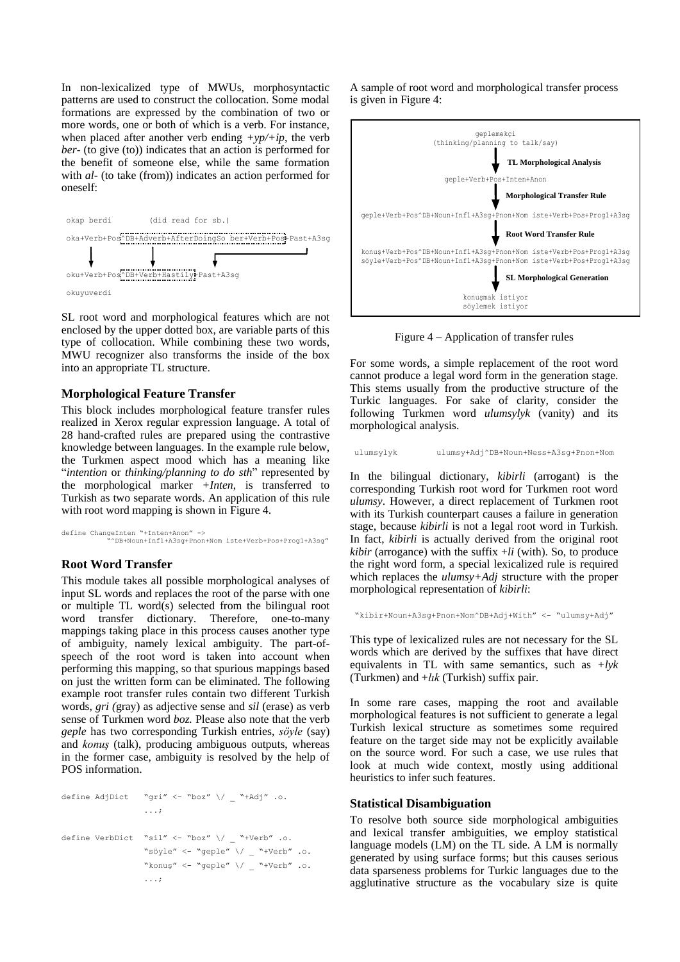In non-lexicalized type of MWUs, morphosyntactic patterns are used to construct the collocation. Some modal formations are expressed by the combination of two or more words, one or both of which is a verb. For instance, when placed after another verb ending  $+yp/+ip$ , the verb *ber-* (to give (to)) indicates that an action is performed for the benefit of someone else, while the same formation with *al-* (to take (from)) indicates an action performed for oneself:



SL root word and morphological features which are not enclosed by the upper dotted box, are variable parts of this type of collocation. While combining these two words, MWU recognizer also transforms the inside of the box into an appropriate TL structure.

### **Morphological Feature Transfer**

This block includes morphological feature transfer rules realized in Xerox regular expression language. A total of 28 hand-crafted rules are prepared using the contrastive knowledge between languages. In the example rule below, the Turkmen aspect mood which has a meaning like "*intention* or *thinking/planning to do sth*" represented by the morphological marker *+Inten*, is transferred to Turkish as two separate words. An application of this rule with root word mapping is shown in [Figure 4.](#page-3-0)

define ChangeInten "+Inten+Anon" -> "^DB+Noun+Inf1+A3sg+Pnon+Nom iste+Verb+Pos+Prog1+A3sg"

#### **Root Word Transfer**

This module takes all possible morphological analyses of input SL words and replaces the root of the parse with one or multiple TL word(s) selected from the bilingual root word transfer dictionary. Therefore, one-to-many mappings taking place in this process causes another type of ambiguity, namely lexical ambiguity. The part-ofspeech of the root word is taken into account when performing this mapping, so that spurious mappings based on just the written form can be eliminated. The following example root transfer rules contain two different Turkish words, *gri (*gray) as adjective sense and *sil* (erase) as verb sense of Turkmen word *boz.* Please also note that the verb *geple* has two corresponding Turkish entries, *söyle* (say) and *konuş* (talk), producing ambiguous outputs, whereas in the former case, ambiguity is resolved by the help of POS information.

define AdjDict "gri" <- "boz" \/ \_ "+Adj" .o. ...; define VerbDict "sil" <- "boz" \/ \_ "+Verb" .o. "söyle" <- "geple" \/ \_ "+Verb" .o. "konuş" <- "geple"  $\setminus /$  \_ "+Verb" .o. ...;

A sample of root word and morphological transfer process is given i[n Figure 4:](#page-3-0)



Figure 4 – Application of transfer rules

<span id="page-3-0"></span>For some words, a simple replacement of the root word cannot produce a legal word form in the generation stage. This stems usually from the productive structure of the Turkic languages. For sake of clarity, consider the following Turkmen word *ulumsylyk* (vanity) and its morphological analysis.

ulumsylyk ulumsy+Adj^DB+Noun+Ness+A3sg+Pnon+Nom

In the bilingual dictionary, *kibirli* (arrogant) is the corresponding Turkish root word for Turkmen root word *ulumsy*. However, a direct replacement of Turkmen root with its Turkish counterpart causes a failure in generation stage, because *kibirli* is not a legal root word in Turkish. In fact, *kibirli* is actually derived from the original root *kibir* (arrogance) with the suffix +*li* (with). So, to produce the right word form, a special lexicalized rule is required which replaces the *ulumsy+Adj* structure with the proper morphological representation of *kibirli*:

"kibir+Noun+A3sg+Pnon+Nom^DB+Adj+With" <- "ulumsy+Adj"

This type of lexicalized rules are not necessary for the SL words which are derived by the suffixes that have direct equivalents in TL with same semantics, such as *+lyk* (Turkmen) and +*lık* (Turkish) suffix pair.

In some rare cases, mapping the root and available morphological features is not sufficient to generate a legal Turkish lexical structure as sometimes some required feature on the target side may not be explicitly available on the source word. For such a case, we use rules that look at much wide context, mostly using additional heuristics to infer such features.

#### **Statistical Disambiguation**

To resolve both source side morphological ambiguities and lexical transfer ambiguities, we employ statistical language models (LM) on the TL side. A LM is normally generated by using surface forms; but this causes serious data sparseness problems for Turkic languages due to the agglutinative structure as the vocabulary size is quite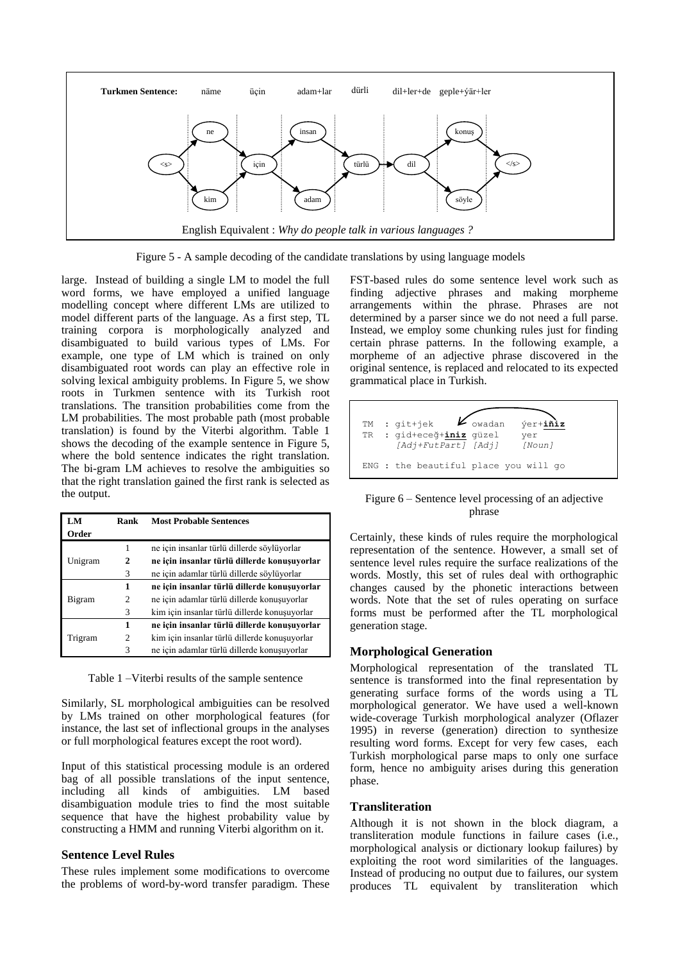

Figure 5 - A sample decoding of the candidate translations by using language models

<span id="page-4-0"></span>large. Instead of building a single LM to model the full word forms, we have employed a unified language modelling concept where different LMs are utilized to model different parts of the language. As a first step, TL training corpora is morphologically analyzed and disambiguated to build various types of LMs. For example, one type of LM which is trained on only disambiguated root words can play an effective role in solving lexical ambiguity problems. In [Figure 5,](#page-4-0) we show roots in Turkmen sentence with its Turkish root translations. The transition probabilities come from the LM probabilities. The most probable path (most probable translation) is found by the Viterbi algorithm. [Table 1](#page-4-1) shows the decoding of the example sentence in [Figure 5,](#page-4-0) where the bold sentence indicates the right translation. The bi-gram LM achieves to resolve the ambiguities so that the right translation gained the first rank is selected as the output.

| LM                | Rank                                          | <b>Most Probable Sentences</b>               |
|-------------------|-----------------------------------------------|----------------------------------------------|
| Order             |                                               |                                              |
|                   | 1                                             | ne için insanlar türlü dillerde söylüyorlar  |
| 2<br>Unigram<br>3 | ne için insanlar türlü dillerde konuşuyorlar  |                                              |
|                   | ne için adamlar türlü dillerde söylüyorlar    |                                              |
|                   | 1                                             | ne için insanlar türlü dillerde konuşuyorlar |
| 2<br>Bigram<br>3  | ne için adamlar türlü dillerde konuşuyorlar   |                                              |
|                   | kim için insanlar türlü dillerde konuşuyorlar |                                              |
|                   | 1                                             | ne için insanlar türlü dillerde konuşuyorlar |
| 2<br>Trigram      | kim için insanlar türlü dillerde konuşuyorlar |                                              |
|                   | 3                                             | ne için adamlar türlü dillerde konuşuyorlar  |

<span id="page-4-1"></span>Table 1 –Viterbi results of the sample sentence

Similarly, SL morphological ambiguities can be resolved by LMs trained on other morphological features (for instance, the last set of inflectional groups in the analyses or full morphological features except the root word).

Input of this statistical processing module is an ordered bag of all possible translations of the input sentence, including all kinds of ambiguities. LM based disambiguation module tries to find the most suitable sequence that have the highest probability value by constructing a HMM and running Viterbi algorithm on it.

# **Sentence Level Rules**

These rules implement some modifications to overcome the problems of word-by-word transfer paradigm. These FST-based rules do some sentence level work such as finding adjective phrases and making morpheme arrangements within the phrase. Phrases are not determined by a parser since we do not need a full parse. Instead, we employ some chunking rules just for finding certain phrase patterns. In the following example, a morpheme of an adjective phrase discovered in the original sentence, is replaced and relocated to its expected grammatical place in Turkish.



Figure 6 – Sentence level processing of an adjective phrase

Certainly, these kinds of rules require the morphological representation of the sentence. However, a small set of sentence level rules require the surface realizations of the words. Mostly, this set of rules deal with orthographic changes caused by the phonetic interactions between words. Note that the set of rules operating on surface forms must be performed after the TL morphological generation stage.

# **Morphological Generation**

Morphological representation of the translated TL sentence is transformed into the final representation by generating surface forms of the words using a TL morphological generator. We have used a well-known wide-coverage Turkish morphological analyzer (Oflazer 1995) in reverse (generation) direction to synthesize resulting word forms. Except for very few cases, each Turkish morphological parse maps to only one surface form, hence no ambiguity arises during this generation phase.

# **Transliteration**

Although it is not shown in the block diagram, a transliteration module functions in failure cases (i.e., morphological analysis or dictionary lookup failures) by exploiting the root word similarities of the languages. Instead of producing no output due to failures, our system produces TL equivalent by transliteration which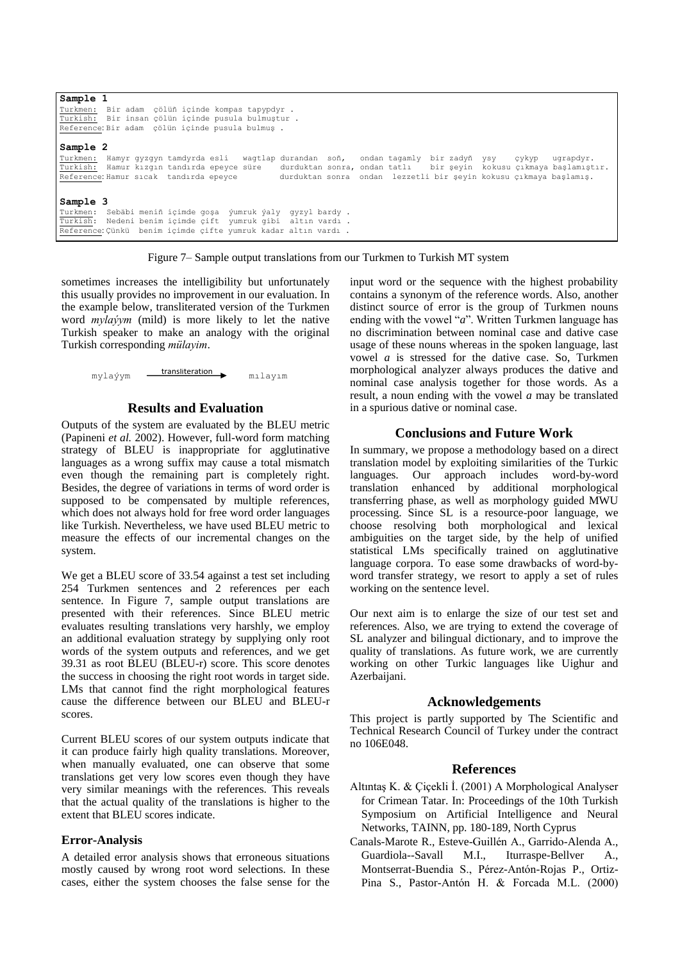| Sample 1                                                                                                         |
|------------------------------------------------------------------------------------------------------------------|
| Turkmen: Bir adam cölüñ icinde kompas tapypdyr.                                                                  |
| Turkish: Bir insan çölün içinde pusula bulmuştur.                                                                |
| Reference: Bir adam cölün icinde pusula bulmus.                                                                  |
| Sample 2                                                                                                         |
| Turkmen: Hamyr qyzqyn tamdyrda esli waqtlap durandan soñ, ondan taqamly bir zadyñ ysy<br>cykyp<br>ugrapdyr.      |
| Turkish: Hamur kızgın tandırda epeyce süre<br>durduktan sonra, ondan tatlı bir şeyin kokusu çıkmaya başlamıştır. |
| durduktan sonra ondan lezzetli bir şeyin kokusu çıkmaya başlamış.<br>Reference: Hamur sicak tandirda epevce      |
|                                                                                                                  |
| Sample 3                                                                                                         |
| Turkmen: Sebäbi meniñ icimde gosa ýumruk ýaly gyzyl bardy.                                                       |
| Turkish: Nedeni benim içimde çift yumruk qibi altın vardı.                                                       |
| Reference: Cünkü benim icimde cifte yumruk kadar altın vardı.                                                    |



<span id="page-5-0"></span>sometimes increases the intelligibility but unfortunately this usually provides no improvement in our evaluation. In the example below, transliterated version of the Turkmen word *mylaýym* (mild) is more likely to let the native Turkish speaker to make an analogy with the original Turkish corresponding *mülayim*.

> mylaýym transliteration mılayım

## **Results and Evaluation**

Outputs of the system are evaluated by the BLEU metric (Papineni *et al.* 2002). However, full-word form matching strategy of BLEU is inappropriate for agglutinative languages as a wrong suffix may cause a total mismatch even though the remaining part is completely right. Besides, the degree of variations in terms of word order is supposed to be compensated by multiple references, which does not always hold for free word order languages like Turkish. Nevertheless, we have used BLEU metric to measure the effects of our incremental changes on the system.

We get a BLEU score of 33.54 against a test set including 254 Turkmen sentences and 2 references per each sentence. In [Figure 7,](#page-5-0) sample output translations are presented with their references. Since BLEU metric evaluates resulting translations very harshly, we employ an additional evaluation strategy by supplying only root words of the system outputs and references, and we get 39.31 as root BLEU (BLEU-r) score. This score denotes the success in choosing the right root words in target side. LMs that cannot find the right morphological features cause the difference between our BLEU and BLEU-r scores.

Current BLEU scores of our system outputs indicate that it can produce fairly high quality translations. Moreover, when manually evaluated, one can observe that some translations get very low scores even though they have very similar meanings with the references. This reveals that the actual quality of the translations is higher to the extent that BLEU scores indicate.

### **Error-Analysis**

A detailed error analysis shows that erroneous situations mostly caused by wrong root word selections. In these cases, either the system chooses the false sense for the input word or the sequence with the highest probability contains a synonym of the reference words. Also, another distinct source of error is the group of Turkmen nouns ending with the vowel "*a*". Written Turkmen language has no discrimination between nominal case and dative case usage of these nouns whereas in the spoken language, last vowel *a* is stressed for the dative case. So, Turkmen morphological analyzer always produces the dative and nominal case analysis together for those words. As a result, a noun ending with the vowel *a* may be translated in a spurious dative or nominal case.

# **Conclusions and Future Work**

In summary, we propose a methodology based on a direct translation model by exploiting similarities of the Turkic languages. Our approach includes word-by-word translation enhanced by additional morphological transferring phase, as well as morphology guided MWU processing. Since SL is a resource-poor language, we choose resolving both morphological and lexical ambiguities on the target side, by the help of unified statistical LMs specifically trained on agglutinative language corpora. To ease some drawbacks of word-byword transfer strategy, we resort to apply a set of rules working on the sentence level.

Our next aim is to enlarge the size of our test set and references. Also, we are trying to extend the coverage of SL analyzer and bilingual dictionary, and to improve the quality of translations. As future work, we are currently working on other Turkic languages like Uighur and Azerbaijani.

#### **Acknowledgements**

This project is partly supported by The Scientific and Technical Research Council of Turkey under the contract no 106E048.

### **References**

- Altıntaş K. & Çiçekli İ. (2001) A Morphological Analyser for Crimean Tatar. In: Proceedings of the 10th Turkish Symposium on Artificial Intelligence and Neural Networks, TAINN, pp. 180-189, North Cyprus
- Canals-Marote R., Esteve-Guillén A., Garrido-Alenda A., Guardiola--Savall M.I., Iturraspe-Bellver A., Montserrat-Buendia S., Pérez-Antón-Rojas P., Ortiz-Pina S., Pastor-Antón H. & Forcada M.L. (2000)